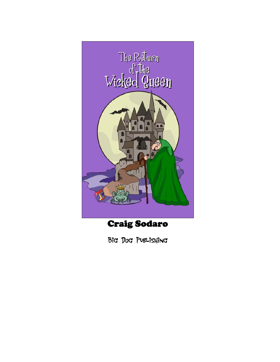

# Craig Sodaro

Big Dog Publishing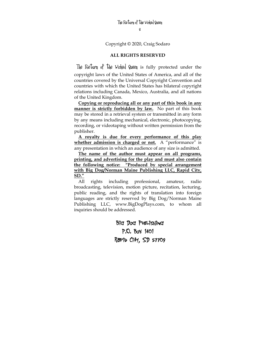Copyright © 2020, Craig Sodaro

### **ALL RIGHTS RESERVED**

The Return of the Wicked Queen is fully protected under the copyright laws of the United States of America, and all of the countries covered by the Universal Copyright Convention and countries with which the United States has bilateral copyright relations including Canada, Mexico, Australia, and all nations of the United Kingdom.

**Copying or reproducing all or any part of this book in any manner is strictly forbidden by law.** No part of this book may be stored in a retrieval system or transmitted in any form by any means including mechanical, electronic, photocopying, recording, or videotaping without written permission from the publisher.

**A royalty is due for every performance of this play whether admission is charged or not.** A "performance" is any presentation in which an audience of any size is admitted.

**The name of the author must appear on all programs, printing, and advertising for the play and must also contain the following notice: "Produced by special arrangement with Big Dog/Norman Maine Publishing LLC, Rapid City, SD."**

All rights including professional, amateur, radio broadcasting, television, motion picture, recitation, lecturing, public reading, and the rights of translation into foreign languages are strictly reserved by Big Dog/Norman Maine Publishing LLC, www.BigDogPlays.com, to whom all inquiries should be addressed.

> Big Dog Publishing P.O. Box 1401 Rapid City, SD 57709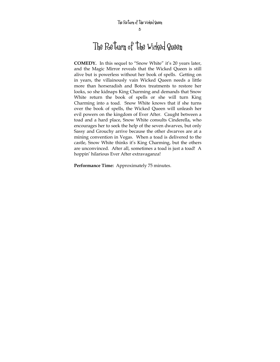**COMEDY.** In this sequel to "Snow White" it's 20 years later, and the Magic Mirror reveals that the Wicked Queen is still alive but is powerless without her book of spells. Getting on in years, the villainously vain Wicked Queen needs a little more than horseradish and Botox treatments to restore her looks, so she kidnaps King Charming and demands that Snow White return the book of spells or she will turn King Charming into a toad. Snow White knows that if she turns over the book of spells, the Wicked Queen will unleash her evil powers on the kingdom of Ever After. Caught between a toad and a hard place, Snow White consults Cinderella, who encourages her to seek the help of the seven dwarves, but only Sassy and Grouchy arrive because the other dwarves are at a mining convention in Vegas. When a toad is delivered to the castle, Snow White thinks it's King Charming, but the others are unconvinced. After all, sometimes a toad is just a toad! A hoppin' hilarious Ever After extravaganza!

**Performance Time:** Approximately 75 minutes.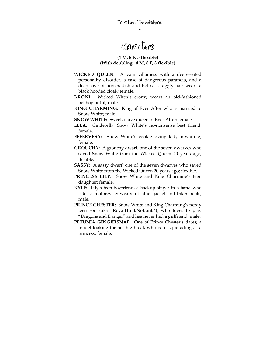# Characters

## **(4 M, 8 F, 5 flexible) (With doubling: 4 M, 6 F, 3 flexible)**

- **WICKED QUEEN:** A vain villainess with a deep-seated personality disorder, a case of dangerous paranoia, and a deep love of horseradish and Botox; scraggly hair wears a black hooded cloak; female.
- **KRONI:** Wicked Witch's crony; wears an old-fashioned bellboy outfit; male.
- **KING CHARMING:** King of Ever After who is married to Snow White; male.
- **SNOW WHITE:** Sweet, naïve queen of Ever After; female.
- **ELLA:** Cinderella, Snow White's no-nonsense best friend; female.
- **EFFERVESA:** Snow White's cookie-loving lady-in-waiting; female.
- **GROUCHY:** A grouchy dwarf; one of the seven dwarves who saved Snow White from the Wicked Queen 20 years ago; flexible.
- **SASSY:** A sassy dwarf; one of the seven dwarves who saved Snow White from the Wicked Queen 20 years ago; flexible.
- **PRINCESS LILY:** Snow White and King Charming's teen daughter; female.
- **KYLE:** Lily's teen boyfriend, a backup singer in a band who rides a motorcycle; wears a leather jacket and biker boots; male.
- **PRINCE CHESTER:** Snow White and King Charming's nerdy teen son (aka "RoyalHunkNoBunk"), who loves to play "Dragons and Danger" and has never had a girlfriend; male.
- **PETUNIA GINGERSNAP:** One of Prince Chester's dates; a model looking for her big break who is masquerading as a princess; female.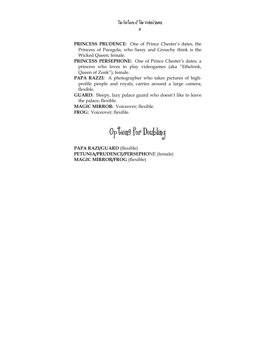- **PRINCESS PRUDENCE:** One of Prince Chester's dates, the Princess of Paragola, who Sassy and Grouchy think is the Wicked Queen; female.
- **PRINCESS PERSEPHONE:** One of Prince Chester's dates; a princess who loves to play videogames (aka "Ethelonk, Queen of Zonk"); female.
- **PAPA RAZZI:** A photographer who takes pictures of highprofile people and royals; carries around a large camera; flexible.
- **GUARD:** Sleepy, lazy palace guard who doesn't like to leave the palace; flexible.

**MAGIC MIRROR:** Voiceover; flexible. **FROG:** Voiceover; flexible.



**PAPA RAZI/GUARD** (flexible) **PETUNIA/PRUDENCE/PERSEPHO**NE (female) **MAGIC MIRROR/FROG** (flexible)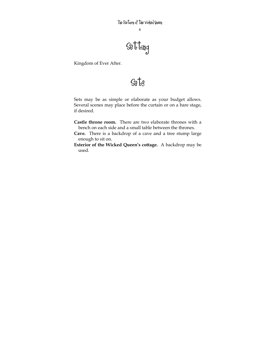# $\mathcal{S}\text{e}$ tting

Kingdom of Ever After.

# Sets

Sets may be as simple or elaborate as your budget allows. Several scenes may place before the curtain or on a bare stage, if desired.

- **Castle throne room.** There are two elaborate thrones with a bench on each side and a small table between the thrones.
- **Cave.** There is a backdrop of a cave and a tree stump large enough to sit on.
- **Exterior of the Wicked Queen's cottage.** A backdrop may be used.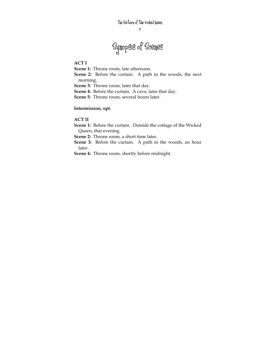# Synopsis of Scenes

## **ACT I**

**Scene 1:** Throne room, late afternoon.

**Scene 2:** Before the curtain. A path in the woods, the next morning.

**Scene 3:** Throne room, later that day.

**Scene 4:** Before the curtain. A cave, later that day.

**Scene 5:** Throne room, several hours later.

## **Intermission, opt.**

# **ACT II**

**Scene 1:** Before the curtain.Outside the cottage of the Wicked Queen, that evening.

**Scene 2:** Throne room, a short time later.

**Scene 3:** Before the curtain.A path in the woods, an hour later.

**Scene 4:** Throne room, shortly before midnight.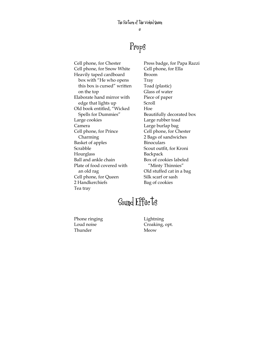# Props

Cell phone, for Chester Cell phone, for Snow White Heavily taped cardboard box with "He who opens this box is cursed" written on the top Elaborate hand mirror with edge that lights up Old book entitled, "Wicked Spells for Dummies" Large cookies Camera Cell phone, for Prince Charming Basket of apples Scrabble Hourglass Ball and ankle chain Plate of food covered with an old rag Cell phone, for Queen 2 Handkerchiefs Tea tray

Press badge, for Papa Razzi Cell phone, for Ella Broom Tray Toad (plastic) Glass of water Piece of paper Scroll Hoe Beautifully decorated box Large rubber toad Large burlap bag Cell phone, for Chester 2 Bags of sandwiches Binoculars Scout outfit, for Kroni Backpack Box of cookies labeled "Minty Thinnies" Old stuffed cat in a bag Silk scarf or sash Bag of cookies

# Sound Effects

Phone ringing Loud noise Thunder

Lightning Croaking, opt. Meow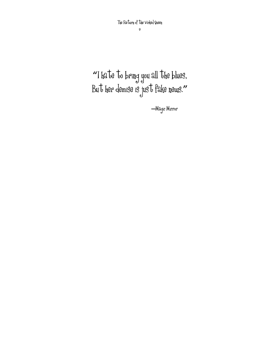**"**I hate to bring you all the blues, But her demise is just fake news.**"**

**―**Magic Mirror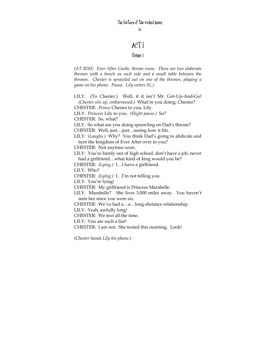# ACT I

## Scene 1

*(AT RISE: Ever After Castle, throne room. There are two elaborate thrones with a bench on each side and a small table between the thrones. Chester is sprawled out on one of the thrones, playing a game on his phone. Pause. Lily enters SL.)* 

LILY: (To Chester.) Well, if it isn't Mr. Get-Up-And-Go! *(Chester sits up, embarrassed.)* What're you doing, Chester? CHESTER: *Prince* Chester to you, Lily. LILY: *Princess* Lily to you. *(Slight pause.)* So? CHESTER: So, what? LILY: So what are you doing sprawling on Dad's throne? CHESTER: Well, just…just…seeing how it fits. LILY: *(Laughs.)* Why? You think Dad's going to abdicate and turn the kingdom of Ever After over to you? CHESTER: Not anytime soon. LILY: You're barely out of high school, don't have a job, never had a girlfriend…what kind of king would you be? CHESTER: *(Lying.)* I…I have a girlfriend. LILY: Who? CHESTER: *(Lying.)* I…I'm not telling you. LILY: You're lying! CHESTER: My girlfriend is Princess Marabelle. LILY: Marabelle? She lives 3,000 miles away. You haven't seen her since you were six. CHESTER: We've had a…a…long-distance relationship. LILY: Yeah, awfully long! CHESTER: We text all the time. LILY: You are such a liar! CHESTER: I am not. She texted this morning. Look!

*(Chester hands Lily his phone.)*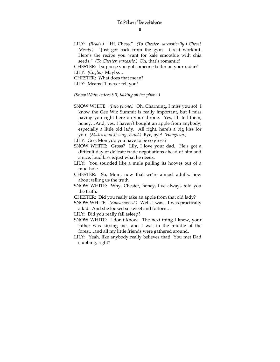11

LILY: *(Reads.)* "Hi, Chess." *(To Chester, sarcastically.) Chess*? *(Reads.)* "Just got back from the gym. Great workout. Here's the recipe you want for kale smoothie with chia seeds." *(To Chester, sarcastic.)* Oh, that's romantic!

CHESTER: I suppose you got someone better on your radar? LILY: *(Coyly.)* Maybe…

CHESTER: What does that mean?

LILY: Means I'll never tell you!

*(Snow White enters SR, talking on her phone.)* 

SNOW WHITE: *(Into phone.)* Oh, Charming, I miss you so! I know the Gee Wiz Summit is really important, but I miss having you right here on your throne. Yes, I'll tell them, honey…And, yes, I haven't bought an apple from anybody, especially a little old lady. All right, here's a big kiss for you. *(Makes loud kissing sound.)* Bye, bye! *(Hangs up.)* 

LILY: Gee, Mom, do you have to be so gross?

- SNOW WHITE: Gross? Lily, I love your dad. He's got a difficult day of delicate trade negotiations ahead of him and a nice, loud kiss is just what he needs.
- LILY: You sounded like a mule pulling its hooves out of a mud hole.
- CHESTER: So, Mom, now that we're almost adults, how about telling us the truth.
- SNOW WHITE: Why, Chester, honey, I've always told you the truth.

CHESTER: Did you really take an apple from that old lady?

SNOW WHITE: *(Embarrassed.)* Well, I was…I was practically a kid! And she looked so sweet and forlorn…

LILY: Did you really fall asleep?

- SNOW WHITE: I don't know. The next thing I knew, your father was kissing me…and I was in the middle of the forest…and all my little friends were gathered around.
- LILY: Yeah, like anybody really believes that! You met Dad clubbing, right?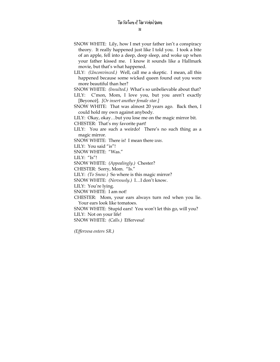- SNOW WHITE: Lily, how I met your father isn't a conspiracy theory. It really happened just like I told you. I took a bite of an apple, fell into a deep, deep sleep, and woke up when your father kissed me. I know it sounds like a Hallmark movie, but that's what happened.
- LILY: *(Unconvinced.)* Well, call me a skeptic. I mean, all this happened because some wicked queen found out you were more beautiful than her?

SNOW WHITE: *(Insulted.)* What's so unbelievable about that?

- LILY: C'mon, Mom, I love you, but you aren't exactly [Beyoncé]. *[Or insert another female star.]*
- SNOW WHITE: That was almost 20 years ago. Back then, I could hold my own against anybody.

LILY: Okay, okay…but you lose me on the magic mirror bit.

CHESTER: That's my favorite part!

LILY: You are such a weirdo! There's no such thing as a magic mirror.

SNOW WHITE: There is! I mean there *was*.

LILY: You said "is"!

SNOW WHITE: "Was."

LILY: "Is"!

SNOW WHITE: *(Appealingly.)* Chester?

CHESTER: Sorry, Mom. "Is."

LILY: *(To Snow.)* So where is this magic mirror?

SNOW WHITE: *(Nervously.)* I…I don't know.

LILY: You're lying.

SNOW WHITE: I am not!

CHESTER: Mom, your ears always turn red when you lie. Your ears look like tomatoes.

SNOW WHITE: Stupid ears! You won't let this go, will you? LILY: Not on your life!

SNOW WHITE: *(Calls.)* Effervesa!

*(Effervesa enters SR.)*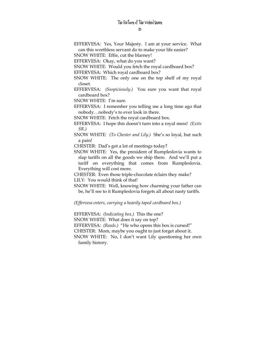13

EFFERVESA: Yes, Your Majesty. I am at your service. What can this worthless servant do to make your life easier?

SNOW WHITE: Effie, cut the blarney!

EFFERVESA: Okay, what do you want?

SNOW WHITE: Would you fetch the royal cardboard box?

EFFERVESA: Which royal cardboard box?

- SNOW WHITE: The only one on the top shelf of my royal closet.
- EFFERVESA: *(Suspiciously.)* You sure you want that royal cardboard box?

SNOW WHITE: I'm sure.

EFFERVESA: I remember you telling me a long time ago that nobody…nobody's to ever look in there.

SNOW WHITE: Fetch the royal cardboard box.

- EFFERVESA: I hope this doesn't turn into a royal mess! *(Exits SR.)*
- SNOW WHITE: *(To Chester and Lily.)* She's so loyal, but such a pain!

CHESTER: Dad's got a lot of meetings today?

SNOW WHITE: Yes, the president of Rumpleslovia wants to slap tariffs on all the goods we ship there. And we'll put a tariff on everything that comes from Rumpleslovia. Everything will cost more.

CHESTER: Even those triple-chocolate éclairs they make?

LILY: You would think of that!

SNOW WHITE: Well, knowing how charming your father can be, he'll see to it Rumpleslovia forgets all about nasty tariffs.

*(Effervesa enters, carrying a heavily taped cardboard box.)* 

EFFERVESA: *(Indicating box.)* This the one?

SNOW WHITE: What does it say on top?

EFFERVESA: *(Reads.)* "He who opens this box is cursed!"

CHESTER: Mom, maybe you ought to just forget about it.

SNOW WHITE: No, I don't want Lily questioning her own family history.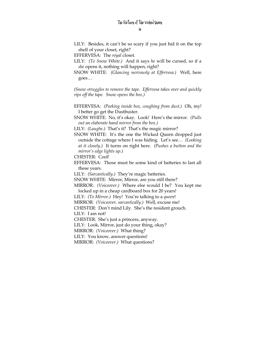LILY: Besides, it can't be so scary if you just hid it on the top shelf of your closet, right?

EFFERVESA: The *royal* closet.

- LILY: *(To Snow White.)* And it says *he* will be cursed, so if a *she* opens it, nothing will happen, right?
- SNOW WHITE: *(Glancing nervously at Effervesa.)* Well, here goes…

*(Snow struggles to remove the tape. Effervesa takes over and quickly rips off the tape. Snow opens the box.)* 

- EFFERVESA: *(Peeking inside box, coughing from dust.)* Oh, my! I better go get the Dustbuster.
- SNOW WHITE: No, it's okay. Look! Here's the mirror. *(Pulls out an elaborate hand mirror from the box.)*

LILY: *(Laughs.)* That's it? That's the magic mirror?

SNOW WHITE: It's the one the Wicked Queen dropped just outside the cottage where I was hiding. Let's see… *(Looking at it closely.)* It turns on right here. *(Pushes a button and the mirror's edge lights up.)* 

CHESTER: Cool!

EFFERVESA: Those must be some kind of batteries to last all these years.

LILY: *(Sarcastically.)* They're magic batteries.

SNOW WHITE: Mirror, Mirror, are you still there?

MIRROR: *(Voiceover.)* Where else would I be? You kept me locked up in a cheap cardboard box for 20 years!

- LILY: *(To Mirror.)* Hey! You're talking to a *queen*!
- MIRROR: *(Voiceover, sarcastically.)* Well, excuse me!

CHESTER: Don't mind Lily. She's the resident grouch.

LILY: I am not!

CHESTER: She's just a princess, anyway.

LILY: Look, Mirror, just do your thing, okay?

MIRROR: *(Voiceover.)* What thing?

LILY: You know, answer questions!

MIRROR: *(Voiceover.)* What questions?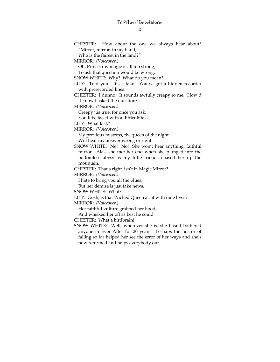CHESTER: How about the one we always hear about? "Mirror, mirror, in my hand,

Who is the fairest in the land?"

MIRROR: *(Voiceover.)*

Oh, Prince, my magic is all too strong,

To ask that question would be wrong.

SNOW WHITE: Why? What do you mean?

- LILY: Told you! It's a fake. You've got a hidden recorder with prerecorded lines.
- CHESTER: I dunno. It sounds awfully creepy to me. How'd it know I asked the question?

MIRROR: *(Voiceover.)*

Creepy 'tis true, for once you ask,

You'll be faced with a difficult task.

LILY: What task?

MIRROR: *(Voiceover.)*

My previous mistress, the queen of the night,

Will hear my answer wrong or right.

SNOW WHITE: No! No! She won't hear anything, faithful mirror. Alas, she met her end when she plunged into the bottomless abyss as my little friends chased her up the mountain.

CHESTER: That's right, isn't it, Magic Mirror?

MIRROR: *(Voiceover.)*

I hate to bring you all the blues,

But her demise is just fake news.

SNOW WHITE: What?

LILY: Gosh, is that Wicked Queen a cat with nine lives?

MIRROR: *(Voiceover.)*

Her faithful vulture grabbed her hood,

And whisked her off as best he could.

CHESTER: What a birdbrain!

SNOW WHITE: Well, wherever she is, she hasn't bothered anyone in Ever After for 20 years. Perhaps the horror of falling so far helped her see the error of her ways and she's now reformed and helps everybody out.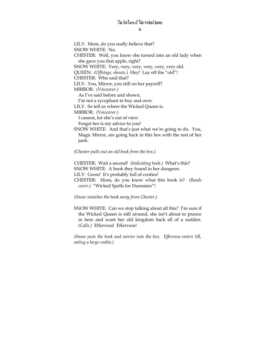LILY: Mom, do you really believe that? SNOW WHITE: No. CHESTER: Well, you know she turned into an old lady when she gave you that apple, right? SNOW WHITE: Very, very, very, very, very, very old. QUEEN: *(Offstage, shouts.)* Hey! Lay off the "old"! CHESTER: Who said that? LILY: You, Mirror, you still on her payroll? MIRROR: *(Voiceover.)* As I've said before and shown, I'm not a sycophant to buy and own. LILY: So tell us where the Wicked Queen is. MIRROR: *(Voiceover.)* I cannot, for she's out of view. Forget her is my advice to you! SNOW WHITE: And that's just what we're going to do. You, Magic Mirror, are going back in this box with the rest of her junk.

*(Chester pulls out an old book from the box.)* 

CHESTER: Wait a second! *(Indicating book.)* What's this? SNOW WHITE: A book they found in her dungeon. LILY: Gross! It's probably full of cooties! CHESTER: Mom, do you know what this book is? *(Reads cover.)* "Wicked Spells for Dummies"!

*(Snow snatches the book away from Chester.)*

SNOW WHITE: Can we stop talking about all this? I'm sure if the Wicked Queen is still around, she isn't about to prance in here and want her old kingdom back all of a sudden. *(Calls.)* Effervesa! Effervesa!

*(Snow puts the book and mirror into the box. Effervesa enters SR, eating a large cookie.)*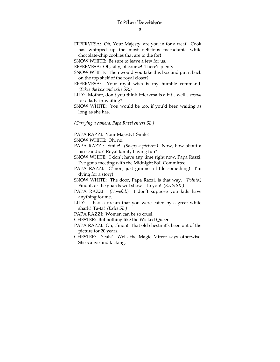EFFERVESA: Oh, Your Majesty, are you in for a treat! Cook has whipped up the most delicious macadamia white chocolate-chip cookies that are to die for!

SNOW WHITE: Be sure to leave a few for us.

- EFFERVESA: Oh, silly, of course! There's plenty!
- SNOW WHITE: Then would you take this box and put it back on the top shelf of the royal closet?
- EFFERVESA: Your royal wish is my humble command. *(Takes the box and exits SR.)*
- LILY: Mother, don't you think Effervesa is a bit…well…*casual* for a lady-in-waiting?
- SNOW WHITE: You would be too, if you'd been waiting as long as she has.

*(Carrying a camera, Papa Razzi enters SL.)* 

PAPA RAZZI: Your Majesty! Smile!

SNOW WHITE: Oh, no!

- PAPA RAZZI: Smile! *(Snaps a picture.)* Now, how about a nice candid? Royal family having fun?
- SNOW WHITE: I don't have any time right now, Papa Razzi. I've got a meeting with the Midnight Ball Committee.
- PAPA RAZZI: C'mon, just gimme a little something! I'm dying for a story!
- SNOW WHITE: The door, Papa Razzi, is that way. *(Points.)* Find it, or the guards will show it to you! *(Exits SR.)*
- PAPA RAZZI: *(Hopeful.)* I don't suppose you kids have anything for me.
- LILY: I had a dream that you were eaten by a great white shark! Ta-ta! *(Exits SL.)*

PAPA RAZZI: Women can be so cruel.

- CHESTER: But nothing like the Wicked Queen.
- PAPA RAZZI: Oh, c'mon! That old chestnut's been out of the picture for 20 years.
- CHESTER: Yeah? Well, the Magic Mirror says otherwise. She's alive and kicking.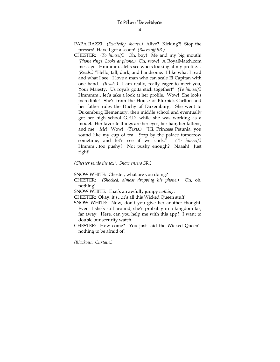- PAPA RAZZI: *(Excitedly, shouts.)* Alive? Kicking?! Stop the presses! Have I got a scoop! *(Races off SR.)*
- CHESTER: *(To himself.)* Oh, boy! Me and my big mouth! *(Phone rings. Looks at phone.)* Oh, wow! A RoyalMatch.com message. Hmmmm…let's see who's looking at my profile… *(Reads.)* "Hello, tall, dark, and handsome. I like what I read and what I see. I love a man who can scale El Capitan with one hand. *(Reads.)* I am really, really eager to meet you, Your Majesty. Us royals gotta stick together!" *(To himself.)* Hmmmm…let's take a look at her profile. Wow! She looks incredible! She's from the House of Blurbick-Carlton and her father rules the Duchy of Duxemburg. She went to Duxemburg Elementary, then middle school and eventually got her high school G.E.D. while she was working as a model. Her favorite things are her eyes, her hair, her kittens, and me! *Me*! Wow! *(Texts.) "*Hi, Princess Petunia, you sound like my cup of tea. Stop by the palace tomorrow sometime, and let's see if we click." *(To himself.)*  Hmmm…too pushy? Not pushy enough? Naaah! Just right!

#### *(Chester sends the text. Snow enters SR.)*

SNOW WHITE: Chester, what are you doing?

CHESTER: *(Shocked, almost dropping his phone.)* Oh, oh, nothing!

SNOW WHITE: That's an awfully jumpy *nothing*.

CHESTER: Okay, it's…it's all this Wicked Queen stuff.

- SNOW WHITE: Now, don't you give her another thought. Even if she's still around, she's probably in a kingdom far, far away. Here, can you help me with this app? I want to double our security watch.
- CHESTER: How come? You just said the Wicked Queen's nothing to be afraid of!

*(Blackout. Curtain.)*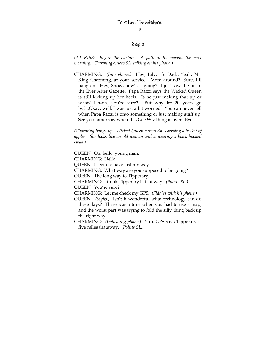## Scene 2

*(AT RISE: Before the curtain. A path in the woods, the next morning. Charming enters SL, talking on his phone.)* 

CHARMING: *(Into phone.)* Hey, Lily, it's Dad…Yeah, Mr. King Charming, at your service. Mom around?...Sure, I'll hang on...Hey, Snow, how's it going? I just saw the bit in the Ever After Gazette. Papa Razzi says the Wicked Queen is still kicking up her heels. Is he just making that up or what?...Uh-oh, you're sure? But why let 20 years go by?...Okay, well, I was just a bit worried. You can never tell when Papa Razzi is onto something or just making stuff up. See you tomorrow when this Gee Wiz thing is over. Bye!

*(Charming hangs up. Wicked Queen enters SR, carrying a basket of apples. She looks like an old woman and is wearing a black hooded cloak.)* 

QUEEN: Oh, hello, young man. CHARMING: Hello. QUEEN: I seem to have lost my way. CHARMING: What way are you supposed to be going? QUEEN: The long way to Tipperary. CHARMING: I think Tipperary is that way. *(Points SL.)*  QUEEN: You're sure? CHARMING: Let me check my GPS. *(Fiddles with his phone.)*  QUEEN: *(Sighs.)* Isn't it wonderful what technology can do

these days? There was a time when you had to use a map, and the worst part was trying to fold the silly thing back up the right way.

CHARMING: *(Indicating phone.)* Yup, GPS says Tipperary is five miles thataway. *(Points SL.)*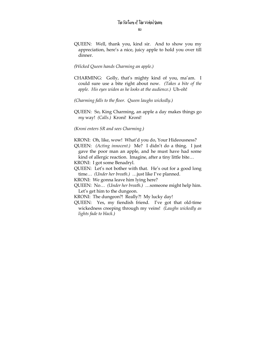- QUEEN: Well, thank you, kind sir. And to show you my appreciation, here's a nice, juicy apple to hold you over till dinner.
- *(Wicked Queen hands Charming an apple.)*
- CHARMING: Golly, that's mighty kind of you, ma'am. I could sure use a bite right about now. *(Takes a bite of the apple. His eyes widen as he looks at the audience.)* Uh-oh!
- *(Charming falls to the floor. Queen laughs wickedly.)*
- QUEEN: So, King Charming, an apple a day makes things go *my* way! *(Calls.)* Kroni! Kroni!
- *(Kroni enters SR and sees Charming.)*

KRONI: Oh, like, wow! What'd you do, Your Hideousness?

QUEEN: *(Acting innocent.)* Me? I didn't do a thing. I just gave the poor man an apple, and he must have had some kind of allergic reaction. Imagine, after a tiny little bite…

KRONI: I got some Benadryl.

- QUEEN: Let's not bother with that. He's out for a good long time… *(Under her breath.)* …just like I've planned.
- KRONI: We gonna leave him lying here?
- QUEEN: No… *(Under her breath.)* …someone might help him. Let's get him to the dungeon.
- KRONI: The dungeon?! Really?! My lucky day!
- QUEEN: Yes, my fiendish friend. I've got that old-time wickedness creeping through my veins! *(Laughs wickedly as lights fade to black.)*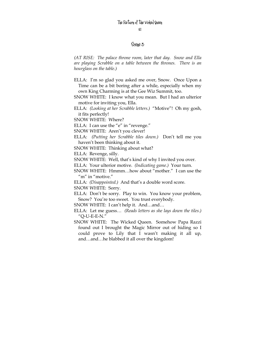### Scene 3

*(AT RISE: The palace throne room, later that day. Snow and Ella are playing Scrabble on a table between the thrones. There is an hourglass on the table.)* 

- ELLA: I'm so glad you asked me over, Snow. Once Upon a Time can be a bit boring after a while, especially when my own King Charming is at the Gee Wiz Summit, too.
- SNOW WHITE: I know what you mean. But I had an ulterior motive for inviting you, Ella.
- ELLA: *(Looking at her Scrabble letters.)* "Motive"! Oh my gosh, it fits perfectly!

SNOW WHITE: Where?

ELLA: I can use the "e" in "revenge."

SNOW WHITE: Aren't you clever!

ELLA: *(Putting her Scrabble tiles down.)* Don't tell me you haven't been thinking about it.

SNOW WHITE: Thinking about what?

ELLA: Revenge, silly.

SNOW WHITE: Well, that's kind of why I invited you over.

ELLA: Your ulterior motive. *(Indicating game.)* Your turn.

SNOW WHITE: Hmmm…how about "mother." I can use the "m" in "motive."

ELLA: *(Disappointed.)* And that's a double word score.

SNOW WHITE: Sorry.

ELLA: Don't be sorry. Play to win. You know your problem, Snow? You're too sweet. You trust everybody.

SNOW WHITE: I can't help it. And…and…

ELLA: Let me guess… *(Reads letters as she lays down the tiles.)* "Q-U-E-E-N."

SNOW WHITE: The Wicked Queen. Somehow Papa Razzi found out I brought the Magic Mirror out of hiding so I could prove to Lily that I wasn't making it all up, and…and…he blabbed it all over the kingdom!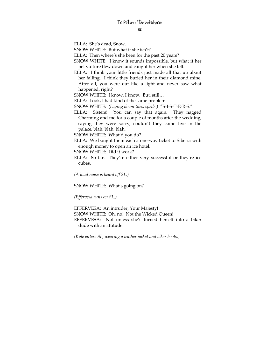ELLA: She's dead, Snow.

SNOW WHITE: But what if she isn't?

ELLA: Then where's she been for the past 20 years?

SNOW WHITE: I know it sounds impossible, but what if her pet vulture flew down and caught her when she fell.

ELLA: I think your little friends just made all that up about her falling. I think they buried her in their diamond mine. After all, you were out like a light and never saw what happened, right?

SNOW WHITE: I know, I know. But, still…

ELLA: Look, I had kind of the same problem.

SNOW WHITE: *(Laying down tiles, spells.)* "S-I-S-T-E-R-S."

ELLA: Sisters! You can say that again. They nagged Charming and me for a couple of months after the wedding, saying they were sorry, couldn't they come live in the palace, blah, blah, blah.

SNOW WHITE: What'd you do?

ELLA: We bought them each a one-way ticket to Siberia with enough money to open an ice hotel.

SNOW WHITE: Did it work?

ELLA: So far. They're either very successful or they're ice cubes.

*(A loud noise is heard off SL.)* 

SNOW WHITE: What's going on?

*(Effervesa runs on SL.)* 

EFFERVESA: An intruder, Your Majesty!

SNOW WHITE: Oh, no! Not the Wicked Queen! EFFERVESA: Not unless she's turned herself into a biker dude with an attitude!

*(Kyle enters SL, wearing a leather jacket and biker boots.)*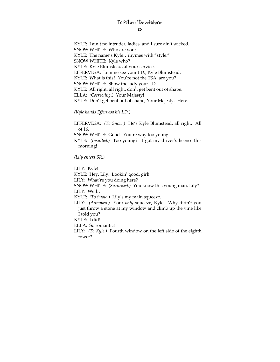KYLE: I ain't no intruder, ladies, and I sure ain't wicked. SNOW WHITE: Who are you? KYLE: The name's Kyle…rhymes with "style." SNOW WHITE: Kyle who? KYLE: Kyle Blumstead, at your service. EFFERVESA: Lemme see your I.D., Kyle Blumstead. KYLE: What is this? You're not the TSA, are you? SNOW WHITE: Show the lady your I.D. KYLE: All right, all right, don't get bent out of shape. ELLA: *(Correcting.)* Your Majesty! KYLE: Don't get bent out of shape, Your Majesty. Here.

*(Kyle hands Effervesa his I.D.)* 

EFFERVESA: *(To Snow.)* He's Kyle Blumstead, all right. All of 16. SNOW WHITE: Good. You're way too young.

KYLE: *(Insulted.)* Too young?! I got my driver's license this morning!

*(Lily enters SR.)* 

tower?

LILY: Kyle! KYLE: Hey, Lily! Lookin' good, girl! LILY: What're you doing here? SNOW WHITE: *(Surprised.)* You know this young man, Lily? LILY: Well… KYLE: *(To Snow.)* Lily's my main squeeze. LILY: *(Annoyed.)* Your *only* squeeze, Kyle. Why didn't you just throw a stone at my window and climb up the vine like I told you? KYLE: I did! ELLA: So romantic! LILY: *(To Kyle.)* Fourth window on the left side of the eighth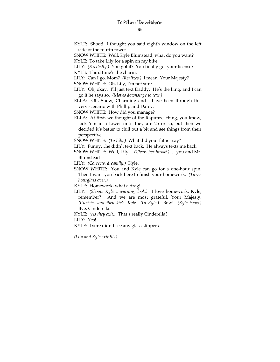- KYLE: Shoot! I thought you said eighth window on the left side of the fourth tower.
- SNOW WHITE: Well, Kyle Blumstead, what do you want?
- KYLE: To take Lily for a spin on my bike.
- LILY: *(Excitedly.)* You got it? You finally got your license?!
- KYLE: Third time's the charm.
- LILY: Can I go, Mom? *(Realizes.)* I mean, Your Majesty?
- SNOW WHITE: Oh, Lily, I'm not sure…
- LILY: Oh, okay. I'll just text Daddy. He's the king, and I can go if he says so. *(Moves downstage to text.)*
- ELLA: Oh, Snow, Charming and I have been through this very scenario with Phillip and Darcy.
- SNOW WHITE: How did you manage?
- ELLA: At first, we thought of the Rapunzel thing, you know, lock 'em in a tower until they are 25 or so, but then we decided it's better to chill out a bit and see things from their perspective.
- SNOW WHITE: *(To Lily.)* What did your father say?
- LILY: Funny…he didn't text back. He always texts me back.
- SNOW WHITE: Well, Lily… *(Clears her throat.)* …you and Mr. Blumstead—
- LILY: *(Corrects, dreamily.)* Kyle.
- SNOW WHITE: You and Kyle can go for a one-hour spin. Then I want you back here to finish your homework. *(Turns hourglass over.)*
- KYLE: Homework, what a drag!
- LILY: *(Shoots Kyle a warning look.)* I love homework, Kyle, remember? And we are most grateful, Your Majesty. *(Curtsies and then kicks Kyle. To Kyle.)* Bow! *(Kyle bows.)*  Bye, Cinderella.
- KYLE: *(As they exit.)* That's really Cinderella?

LILY: Yes!

KYLE: I sure didn't see any glass slippers.

*(Lily and Kyle exit SL.)*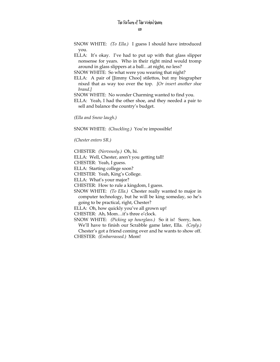SNOW WHITE: *(To Ella.)* I guess I should have introduced you.

ELLA: It's okay. I've had to put up with that glass slipper nonsense for years. Who in their right mind would tromp around in glass slippers at a ball…at night, no less?

SNOW WHITE: So what were you wearing that night?

ELLA: A pair of [Jimmy Choo] stilettos, but my biographer nixed that as way too over the top. *[Or insert another shoe brand.]* 

SNOW WHITE: No wonder Charming wanted to find you.

ELLA: Yeah, I had the other shoe, and they needed a pair to sell and balance the country's budget.

*(Ella and Snow laugh.)* 

SNOW WHITE: *(Chuckling.)* You're impossible!

*(Chester enters SR.)* 

CHESTER: *(Nervously.)* Oh, hi.

ELLA: Well, Chester, aren't you getting tall!

CHESTER: Yeah, I guess.

ELLA: Starting college soon?

CHESTER: Yeah, King's College.

ELLA: What's your major?

CHESTER: How to rule a kingdom, I guess.

SNOW WHITE: *(To Ella.)* Chester really wanted to major in computer technology, but he will be king someday, so he's going to be practical, right, Chester?

ELLA: Oh, how quickly you've all grown up!

CHESTER: Ah, Mom…it's three o'clock.

SNOW WHITE: *(Picking up hourglass.)* So it is! Sorry, hon. We'll have to finish our Scrabble game later, Ella. *(Coyly.)* Chester's got a friend coming over and he wants to show off.

CHESTER: *(Embarrassed.)* Mom!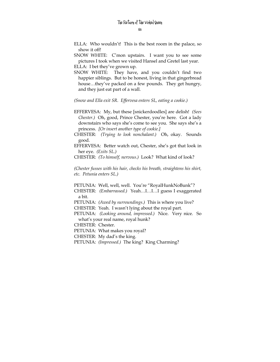ELLA: Who wouldn't! This is the best room in the palace, so show it off!

SNOW WHITE: C'mon upstairs. I want you to see some pictures I took when we visited Hansel and Gretel last year.

ELLA: I bet they've grown up.

SNOW WHITE: They have, and you couldn't find two happier siblings. But to be honest, living in that gingerbread house…they've packed on a few pounds. They get hungry, and they just eat part of a wall.

*(Snow and Ella exit SR. Effervesa enters SL, eating a cookie.)* 

- EFFERVESA: My, but these [snickerdoodles] are delish! *(Sees Chester.)* Oh, good, Prince Chester, you're here. Got a lady downstairs who says she's come to see you. She says she's a princess. *[Or insert another type of cookie.]*
- CHESTER: *(Trying to look nonchalant.)* Oh, okay. Sounds good.

EFFERVESA: Better watch out, Chester, she's got that look in her eye. *(Exits SL.)* 

CHESTER: *(To himself, nervous.)* Look? What kind of look?

*(Chester fusses with his hair, checks his breath, straightens his shirt, etc. Petunia enters SL.)* 

PETUNIA: Well, well, well. You're "RoyalHunkNoBunk"?

CHESTER: *(Embarrassed.)* Yeah…I…I…I guess I exaggerated a bit.

PETUNIA: *(Awed by surroundings.)* This is where you live?

CHESTER: Yeah. I wasn't lying about the royal part.

PETUNIA: *(Looking around, impressed.)* Nice. Very nice. So what's your real name, royal hunk?

CHESTER: Chester.

PETUNIA: What makes you royal?

CHESTER: My dad's the king.

PETUNIA: *(Impressed.)* The king? King Charming?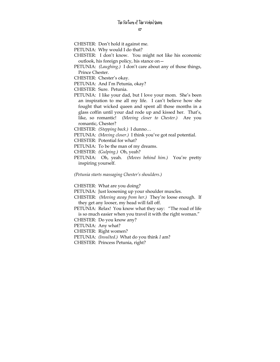CHESTER: Don't hold it against me.

PETUNIA: Why would I do that?

CHESTER: I don't know. You might not like his economic outlook, his foreign policy, his stance on—

PETUNIA: *(Laughing.)* I don't care about any of those things, Prince Chester.

CHESTER: Chester's okay.

PETUNIA: And I'm Petunia, okay?

CHESTER: Sure. Petunia.

PETUNIA: I like your dad, but I love your mom. She's been an inspiration to me all my life. I can't believe how she fought that wicked queen and spent all those months in a glass coffin until your dad rode up and kissed her. That's, like, so romantic! *(Moving closer to Chester.)* Are you romantic, Chester?

CHESTER: *(Stepping back.)* I dunno…

PETUNIA: *(Moving closer.)* I think you've got real potential.

CHESTER: Potential for what?

PETUNIA: To be the man of my dreams.

CHESTER: *(Gulping.)* Oh, yeah?

PETUNIA: Oh, yeah. *(Moves behind him.)* You're pretty inspiring yourself.

*(Petunia starts massaging Chester's shoulders.)* 

CHESTER: What are you doing?

PETUNIA: Just loosening up your shoulder muscles.

CHESTER: *(Moving away from her.)* They're loose enough. If they get any looser, my head will fall off.

PETUNIA: Relax! You know what they say: "The road of life is so much easier when you travel it with the right woman."

CHESTER: Do you know any?

PETUNIA: Any what?

CHESTER: Right women?

PETUNIA: *(Insulted.)* What do you think *I* am?

CHESTER: Princess Petunia, right?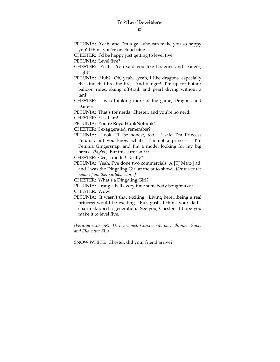PETUNIA: Yeah, and I'm a gal who can make you so happy you'll think you're on cloud nine.

CHESTER: I'd be happy just getting to level five.

PETUNIA: Level five?

- CHESTER: Yeah. You said you like Dragons and Danger, right?
- PETUNIA: Huh? Oh, yeah…yeah, I like dragons, especially the kind that breathe fire. And danger! I'm up for hot-air balloon rides, skiing off-trail, and pearl diving without a tank.
- CHESTER: I was thinking more of the game, Dragons and Danger.

PETUNIA: That's for nerds, Chester, and you're no nerd.

CHESTER: Yes, I am!

PETUNIA: You're RoyalHunkNoBunk!

CHESTER: I exaggerated, remember?

PETUNIA: Look, I'll be honest, too. I said I'm Princess Petunia, but you know what? I'm not a princess. I'm Petunia Gingersnap, and I'm a model looking for my big break. *(Sighs.)* But this sure isn't it.

CHESTER: Gee, a model! Really?

PETUNIA: Yeah, I've done two commercials, A [TJ Maxx] ad, and I was the Dingaling Girl at the auto show. *[Or insert the name of another suitable store.]* 

CHESTER: What's a Dingaling Girl?

PETUNIA: I rang a bell every time somebody bought a car. CHESTER: Wow!

PETUNIA: It wasn't that exciting. Living here…being a real princess would be exciting. But, gosh, I think your dad's charm skipped a generation. See you, Chester. I hope you make it to level five.

*(Petunia exits SR. Disheartened, Chester sits on a throne. Snow and Ella enter SL.)* 

SNOW WHITE: Chester, did your friend arrive?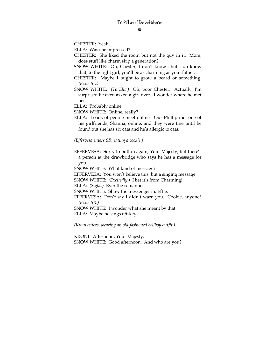CHESTER: Yeah.

ELLA: Was she impressed?

CHESTER: She liked the room but not the guy in it. Mom, does stuff like charm skip a generation?

SNOW WHITE: Oh, Chester, I don't know…but I do know that, to the right girl, you'll be as charming as your father.

- CHESTER: Maybe I ought to grow a beard or something. *(Exits SL.)*
- SNOW WHITE: *(To Ella.)* Oh, poor Chester. Actually, I'm surprised he even asked a girl over. I wonder where he met her.

ELLA: Probably online.

SNOW WHITE: Online, really?

ELLA: Loads of people meet online. Our Phillip met one of his girlfriends, Shanna, online, and they were fine until he found out she has six cats and he's allergic to cats.

*(Effervesa enters SR, eating a cookie.)* 

EFFERVESA: Sorry to butt in again, Your Majesty, but there's a person at the drawbridge who says he has a message for you.

SNOW WHITE: What kind of message?

EFFERVESA: You won't believe this, but a singing message.

SNOW WHITE: *(Excitedly.)* I bet it's from Charming!

ELLA: *(Sighs.)* Ever the romantic.

SNOW WHITE: Show the messenger in, Effie.

EFFERVESA: Don't say I didn't warn you. Cookie, anyone? *(Exits SR.)* 

SNOW WHITE: I wonder what she meant by that. ELLA: Maybe he sings off-key.

*(Kroni enters, wearing an old-fashioned bellboy outfit.)* 

KRONI: Afternoon, Your Majesty. SNOW WHITE: Good afternoon. And who are you?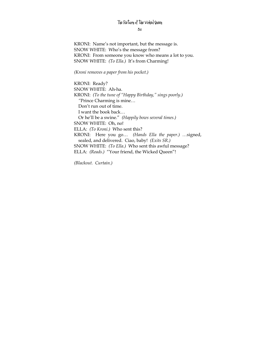KRONI: Name's not important, but the message is. SNOW WHITE: Who's the message from? KRONI: From someone you know who means a lot to you. SNOW WHITE: *(To Ella.)* It's from Charming!

*(Kroni removes a paper from his pocket.)* 

KRONI: Ready? SNOW WHITE: Ah-ha. KRONI: *(To the tune of "Happy Birthday," sings poorly.) "*Prince Charming is mine… Don't run out of time. I want the book back… Or he'll be a swine." *(Happily bows several times.)*  SNOW WHITE: Oh, no! ELLA: *(To Kroni.)* Who sent this? KRONI: Here you go… *(Hands Ella the paper.) …*signed, sealed, and delivered. Ciao, baby! *(Exits SR.)*  SNOW WHITE: *(To Ella.)* Who sent this awful message? ELLA: *(Reads.)* "Your friend, the Wicked Queen"!

*(Blackout. Curtain.)*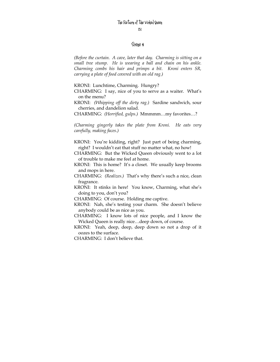## Scene 4

*(Before the curtain. A cave, later that day. Charming is sitting on a small tree stump. He is wearing a ball and chain on his ankle. Charming combs his hair and primps a bit. Kroni enters SR, carrying a plate of food covered with an old rag.)* 

KRONI: Lunchtime, Charming. Hungry?

CHARMING: I say, nice of you to serve as a waiter. What's on the menu?

KRONI: *(Whipping off the dirty rag.)* Sardine sandwich, sour cherries, and dandelion salad.

CHARMING: *(Horrified, gulps.)* Mmmmm…my favorites…?

*(Charming gingerly takes the plate from Kroni. He eats very carefully, making faces.)* 

KRONI: You're kidding, right? Just part of being charming, right? I wouldn't eat that stuff no matter what, no how!

CHARMING: But the Wicked Queen obviously went to a lot of trouble to make me feel at home.

- KRONI: This is home? It's a closet. We usually keep brooms and mops in here.
- CHARMING: *(Realizes.)* That's why there's such a nice, clean fragrance.
- KRONI: It stinks in here! You know, Charming, what she's doing to you, don't you?

CHARMING: Of course. Holding me captive.

- KRONI: Nah, she's testing your charm. She doesn't believe anybody could be as nice as you.
- CHARMING: I know lots of nice people, and I know the Wicked Queen is really nice…deep down, of course.
- KRONI: Yeah, deep, deep, deep down so not a drop of it oozes to the surface.

CHARMING: I don't believe that.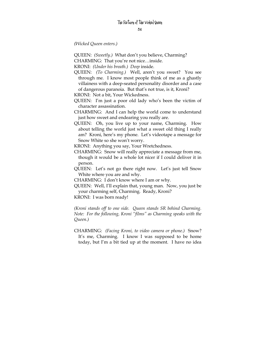*(Wicked Queen enters.)* 

QUEEN: *(Sweetly.)* What don't you believe, Charming?

CHARMING: That you're not nice…inside.

KRONI: *(Under his breath.) Deep* inside.

QUEEN: *(To Charming.)* Well, aren't you sweet? You see through me. I know most people think of me as a ghastly villainess with a deep-seated personality disorder and a case of dangerous paranoia. But that's not true, is it, Kroni?

KRONI: Not a bit, Your Wickedness.

QUEEN: I'm just a poor old lady who's been the victim of character assassination.

CHARMING: And I can help the world come to understand just how sweet and endearing you really are.

QUEEN: Oh, you live up to your name, Charming. How about telling the world just what a sweet old thing I really am? Kroni, here's my phone. Let's videotape a message for Snow White so she won't worry.

KRONI: Anything you say, Your Wretchedness.

CHARMING: Snow will really appreciate a message from me, though it would be a whole lot nicer if I could deliver it in person.

QUEEN: Let's not go there right now. Let's just tell Snow White where you are and why.

CHARMING: I don't know where I am or why.

QUEEN: Well, I'll explain that, young man. Now, you just be your charming self, Charming. Ready, Kroni?

KRONI: I was born ready!

*(Kroni stands off to one side. Queen stands SR behind Charming. Note: For the following, Kroni "films" as Charming speaks with the Queen.)* 

CHARMING: *(Facing Kroni, to video camera or phone.)* Snow? It's me, Charming. I know I was supposed to be home today, but I'm a bit tied up at the moment. I have no idea